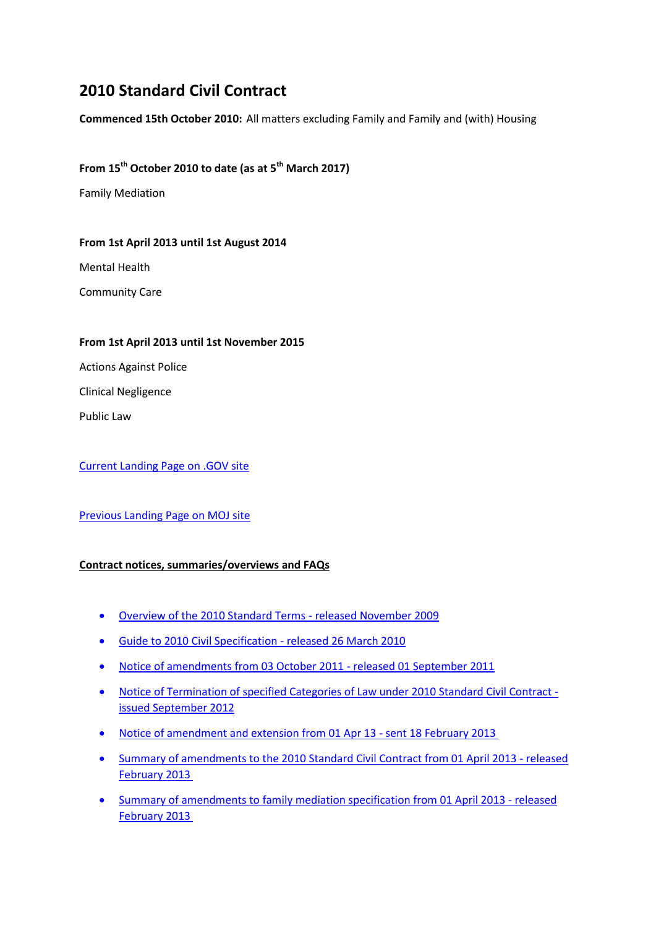# **2010 Standard Civil Contract**

**Commenced 15th October 2010:** All matters excluding Family and Family and (with) Housing

## **From 15th October 2010 to date (as at 5th March 2017)**

Family Mediation

#### **From 1st April 2013 until 1st August 2014**

Mental Health

Community Care

#### **From 1st April 2013 until 1st November 2015**

Actions Against Police

Clinical Negligence

Public Law

[Current Landing Page on .GOV site](https://www.gov.uk/government/publications/standard-civil-contract-2010)

## [Previous Landing Page on MOJ site](http://webarchive.nationalarchives.gov.uk/20140713080715/http:/www.justice.gov.uk/legal-aid/contracts-and-tenders/standard-civil-contract-2010)

## **Contract notices, summaries/overviews and FAQs**

- [Overview of the 2010 Standard Terms -](http://webarchive.nationalarchives.gov.uk/20130402173222/http:/www.justice.gov.uk/downloads/legal-aid/civil-contracts/Overview-of-the-Standard-Terms-2010.pdf) released November 2009
- [Guide to 2010 Civil Specification -](http://webarchive.nationalarchives.gov.uk/20130402173222/http:/www.justice.gov.uk/downloads/legal-aid/civil-contracts/Guide-to-Civil-Specification.pdf) released 26 March 2010
- [Notice of amendments from 03 October 2011 -](http://webarchive.nationalarchives.gov.uk/20111209153212/http:/www.legalservices.gov.uk/docs/civil_contracting/Civil_Contract_variation_notice.pdf) released 01 September 2011
- [Notice of Termination of specified Categories of Law under 2010 Standard Civil Contract](http://webarchive.nationalarchives.gov.uk/20140713080715/http:/www.justice.gov.uk/downloads/legal-aid/civil-contracts/termination-template.pdf)  [issued September 2012](http://webarchive.nationalarchives.gov.uk/20140713080715/http:/www.justice.gov.uk/downloads/legal-aid/civil-contracts/termination-template.pdf)
- [Notice of amendment and extension from 01 Apr 13 -](http://webarchive.nationalarchives.gov.uk/20130402173222/http:/www.justice.gov.uk/downloads/legal-aid/civil-contracts/notice-amendment-extension-civil.pdf) sent 18 February 2013
- [Summary of amendments to the 2010 Standard Civil Contract from 01 April 2013 -](http://webarchive.nationalarchives.gov.uk/20130402173222/http:/www.justice.gov.uk/downloads/legal-aid/civil-contracts/summary-amends-2010-civil-contract.pdf) released [February 2013](http://webarchive.nationalarchives.gov.uk/20130402173222/http:/www.justice.gov.uk/downloads/legal-aid/civil-contracts/summary-amends-2010-civil-contract.pdf)
- [Summary of amendments to family mediation specification from 01 April 2013 -](http://webarchive.nationalarchives.gov.uk/20130402173222/http:/www.justice.gov.uk/downloads/legal-aid/civil-contracts/summary-amends-family-mediation-specification.pdf) released [February 2013](http://webarchive.nationalarchives.gov.uk/20130402173222/http:/www.justice.gov.uk/downloads/legal-aid/civil-contracts/summary-amends-family-mediation-specification.pdf)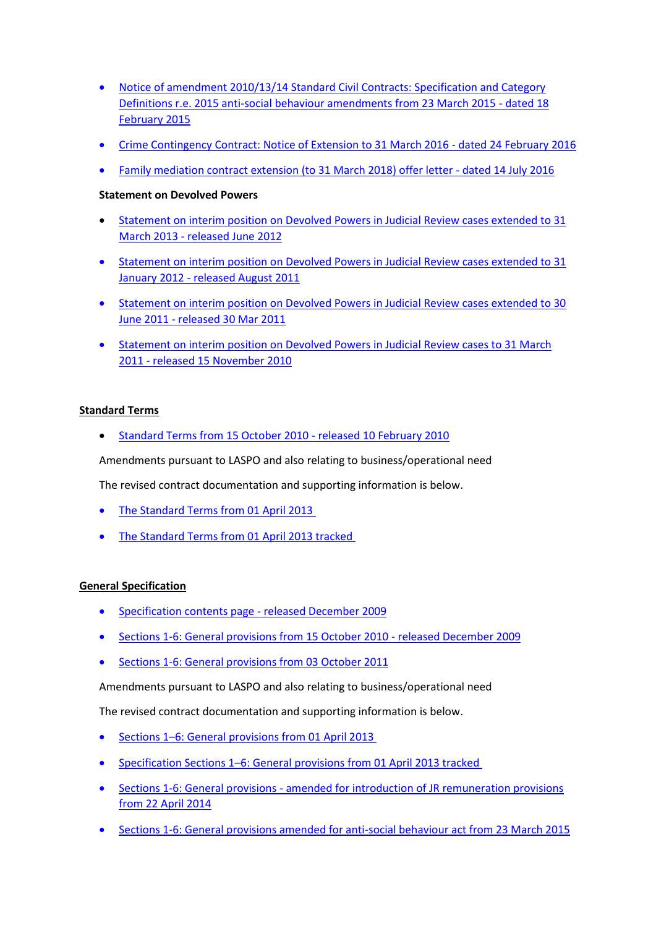- [Notice of amendment 2010/13/14 Standard Civil Contracts: Specification and Category](http://webarchive.nationalarchives.gov.uk/20150401041643/https:/www.gov.uk/government/uploads/system/uploads/attachment_data/file/406153/standard-civil-contract-amendment-notice.pdf)  [Definitions r.e. 2015 anti-social behaviour amendments from 23 March 2015 -](http://webarchive.nationalarchives.gov.uk/20150401041643/https:/www.gov.uk/government/uploads/system/uploads/attachment_data/file/406153/standard-civil-contract-amendment-notice.pdf) dated 18 [February 2015](http://webarchive.nationalarchives.gov.uk/20150401041643/https:/www.gov.uk/government/uploads/system/uploads/attachment_data/file/406153/standard-civil-contract-amendment-notice.pdf)
- [Crime Contingency Contract: Notice of Extension to 31 March 2016 -](http://webarchive.nationalarchives.gov.uk/20160511052506/https:/www.gov.uk/government/uploads/system/uploads/attachment_data/file/503310/crime-contingency-contract-notice-of-extension.pdf) dated 24 February 2016
- [Family mediation contract extension \(to 31 March 2018\) offer letter -](http://webarchive.nationalarchives.gov.uk/20160806083123/https:/gov.uk/government/uploads/system/uploads/attachment_data/file/538690/standard-civil-contract-family-mediation-contract-extension-offer.pdf) dated 14 July 2016

## **Statement on Devolved Powers**

- [Statement on interim position on Devolved Powers in Judicial Review cases extended to 31](http://webarchive.nationalarchives.gov.uk/20121207073230/http:/www.legalservices.gov.uk/docs/civil_contracting/statement-on-devolved-powers.pdf) March 2013 - [released June 2012](http://webarchive.nationalarchives.gov.uk/20121207073230/http:/www.legalservices.gov.uk/docs/civil_contracting/statement-on-devolved-powers.pdf)
- [Statement on interim position on Devolved Powers in Judicial Review cases extended to 31](http://webarchive.nationalarchives.gov.uk/20111209153212/http:/www.legalservices.gov.uk/docs/civil_contracting/Statement_on_Devolved_Powers_31_Jul_2011_(ver_0_2).pdf)  January 2012 - [released August 2011](http://webarchive.nationalarchives.gov.uk/20111209153212/http:/www.legalservices.gov.uk/docs/civil_contracting/Statement_on_Devolved_Powers_31_Jul_2011_(ver_0_2).pdf)
- [Statement on interim position on Devolved Powers in Judicial Review cases extended to 30](http://webarchive.nationalarchives.gov.uk/20110602065221/http:/www.legalservices.gov.uk/docs/civil_contracting/Devolved_Powers_in_Judicial_Review_cases_under_the_2010_Contract_final.pdf)  June 2011 - [released 30 Mar 2011](http://webarchive.nationalarchives.gov.uk/20110602065221/http:/www.legalservices.gov.uk/docs/civil_contracting/Devolved_Powers_in_Judicial_Review_cases_under_the_2010_Contract_final.pdf)
- [Statement on interim position on Devolved Powers in Judicial Review cases to 31 March](http://webarchive.nationalarchives.gov.uk/20110602065221/http:/www.legalservices.gov.uk/docs/civil_contracting/Devolved_Powers_in_Judicial_Review_cases_under_the_2010_Contract_final.pdf)  2011 - [released 15 November 2010](http://webarchive.nationalarchives.gov.uk/20110602065221/http:/www.legalservices.gov.uk/docs/civil_contracting/Devolved_Powers_in_Judicial_Review_cases_under_the_2010_Contract_final.pdf)

#### **Standard Terms**

[Standard Terms from 15 October 2010 -](http://webarchive.nationalarchives.gov.uk/20130402173222/http:/www.justice.gov.uk/downloads/legal-aid/civil-contracts/Standard-Terms.pdf) released 10 February 2010

Amendments pursuant to LASPO and also relating to business/operational need

The revised contract documentation and supporting information is below.

- [The Standard Terms from 01 April 2013](http://webarchive.nationalarchives.gov.uk/20130402173222/http:/www.justice.gov.uk/downloads/legal-aid/civil-contracts/2010-standard-civil-contract-terms.pdf)
- [The Standard Terms from 01 April 2013 tracked](http://webarchive.nationalarchives.gov.uk/20130402173222/http:/www.justice.gov.uk/downloads/legal-aid/civil-contracts/2010-standard-civil-contract-terms-tracked.pdf)

## **General Specification**

- [Specification contents page -](http://webarchive.nationalarchives.gov.uk/20130402173222/http:/www.justice.gov.uk/downloads/legal-aid/civil-contracts/Contents-Page-2010-Civil-Specification-Dec-09.pdf) released December 2009
- [Sections 1-6: General provisions from 15 October 2010 -](http://webarchive.nationalarchives.gov.uk/20130402173222/http:/www.justice.gov.uk/downloads/legal-aid/civil-contracts/Sections_1-6.pdf) released December 2009
- [Sections 1-6: General provisions from 03 October 2011](http://webarchive.nationalarchives.gov.uk/20130402173222/http:/www.justice.gov.uk/downloads/legal-aid/civil-contracts/Civil_Specification_Oct_11.pdf)

Amendments pursuant to LASPO and also relating to business/operational need

The revised contract documentation and supporting information is below.

- Sections 1–[6: General provisions from 01 April 2013](http://webarchive.nationalarchives.gov.uk/20130402173222/http:/www.justice.gov.uk/downloads/legal-aid/civil-contracts/2010-civil-contract-spec-sec-1-6.pdf)
- Specification Sections 1–[6: General provisions from 01 April 2013 tracked](http://webarchive.nationalarchives.gov.uk/20130402173222/http:/www.justice.gov.uk/downloads/legal-aid/civil-contracts/civil-specification-tracked.pdf.pdf)
- Sections 1-6: General provisions [amended for introduction of JR remuneration provisions](http://webarchive.nationalarchives.gov.uk/20140713080715/http:/www.justice.gov.uk/downloads/legal-aid/tenders/2010-civil-contract-specs-1-6.pdf)  [from 22 April 2014](http://webarchive.nationalarchives.gov.uk/20140713080715/http:/www.justice.gov.uk/downloads/legal-aid/tenders/2010-civil-contract-specs-1-6.pdf)
- [Sections 1-6: General provisions amended for anti-social behaviour act from 23 March 2015](http://webarchive.nationalarchives.gov.uk/20161126102632/https:/gov.uk/government/uploads/system/uploads/attachment_data/file/406158/2010-standard-civil-contract-specification-s1-6-2015-anti-social-behaviour-amendments.pdf)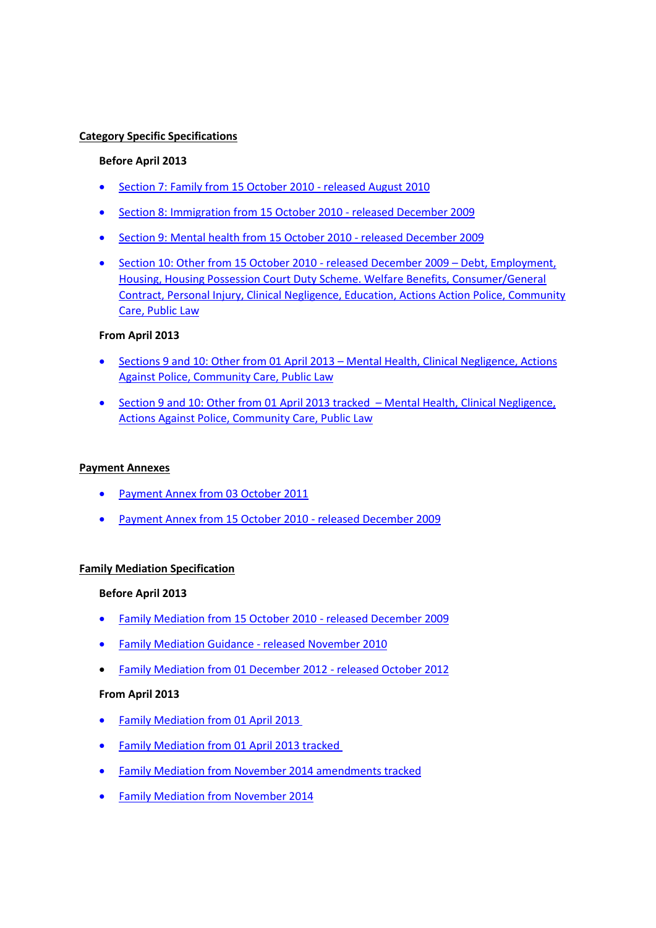#### **Category Specific Specifications**

#### **Before April 2013**

- [Section 7: Family from 15 October 2010 -](http://webarchive.nationalarchives.gov.uk/20130402173222/http:/www.justice.gov.uk/downloads/legal-aid/civil-contracts/Section-7-Family.pdf) released August 2010
- [Section 8: Immigration from 15 October 2010 -](http://webarchive.nationalarchives.gov.uk/20130402173222/http:/www.justice.gov.uk/downloads/legal-aid/civil-contracts/Section-8-Immigration.pdf) released December 2009
- [Section 9: Mental health from 15 October 2010 -](http://webarchive.nationalarchives.gov.uk/20130402173222/http:/www.justice.gov.uk/downloads/legal-aid/civil-contracts/Section-9-Mental-Health.pdf) released December 2009
- [Section 10: Other from 15 October 2010 -](http://webarchive.nationalarchives.gov.uk/20130402173222/http:/www.justice.gov.uk/downloads/legal-aid/civil-contracts/Section-10-Miscellaneous.pdf) released December 2009 Debt, Employment, Housing, Housing Possession Court Duty Scheme. Welfare Benefits, Consumer/General Contract, Personal Injury, Clinical Negligence, Education, Actions Action Police, Community Care, Public Law

#### **From April 2013**

- [Sections 9 and 10: Other from 01 April 2013](http://webarchive.nationalarchives.gov.uk/20130402173222/http:/www.justice.gov.uk/downloads/legal-aid/civil-contracts/2010-standard-civil-contract-category-specific.pdf) Mental Health, Clinical Negligence, Actions Against Police, Community Care, Public Law
- Section 9 and 10: [Other from 01 April 2013 tracked](http://webarchive.nationalarchives.gov.uk/20130402173222/http:/www.justice.gov.uk/downloads/legal-aid/civil-contracts/category-specific-sections-tracked.pdf) Mental Health, Clinical Negligence, Actions Against Police, Community Care, Public Law

## **Payment Annexes**

- [Payment Annex from 03 October 2011](http://webarchive.nationalarchives.gov.uk/20130402173222/http:/www.justice.gov.uk/downloads/legal-aid/civil-contracts/Civil_October_2011_Payment_Annex.pdf)
- [Payment Annex from 15 October 2010 -](http://webarchive.nationalarchives.gov.uk/20130402173222/http:/www.justice.gov.uk/downloads/legal-aid/civil-contracts/Payment_Annex_2010.pdf) released December 2009

## **Family Mediation Specification**

#### **Before April 2013**

- [Family Mediation from 15 October 2010 -](http://webarchive.nationalarchives.gov.uk/20130402173222/http:/www.justice.gov.uk/downloads/legal-aid/civil-contracts/Family_Mediation_Specification-Dec_09.pdf) released December 2009
- [Family Mediation Guidance -](http://webarchive.nationalarchives.gov.uk/20130402173222/http:/www.justice.gov.uk/downloads/legal-aid/civil-contracts/Family-Mediation-Contract-Basics.pdf) released November 2010
- [Family Mediation from 01 December 2012 -](http://webarchive.nationalarchives.gov.uk/20130402173222/http:/www.justice.gov.uk/downloads/legal-aid/civil-contracts/2012-family-mediation-spec.pdf) released October 2012

## **From April 2013**

- [Family Mediation from 01 April 2013](http://webarchive.nationalarchives.gov.uk/20130402173222/http:/www.justice.gov.uk/downloads/legal-aid/civil-contracts/2010-standard-civil-contract-family-mediation.pdf)
- [Family Mediation from 01 April 2013 tracked](http://webarchive.nationalarchives.gov.uk/20130402173222/http:/www.justice.gov.uk/downloads/legal-aid/civil-contracts/family-mediation-tracked.pdf)
- [Family Mediation from November 2014 amendments tracked](http://webarchive.nationalarchives.gov.uk/20141205202119/https:/www.gov.uk/government/uploads/system/uploads/attachment_data/file/369154/2010-standard-civil-contract-family-mediation-specification-nov-2014-amendments.pdf)
- [Family Mediation from November 2014](http://webarchive.nationalarchives.gov.uk/20141205202119/https:/www.gov.uk/government/uploads/system/uploads/attachment_data/file/369155/2010-standard-civil-contract-family-mediation-specification-november-2014.pdf)